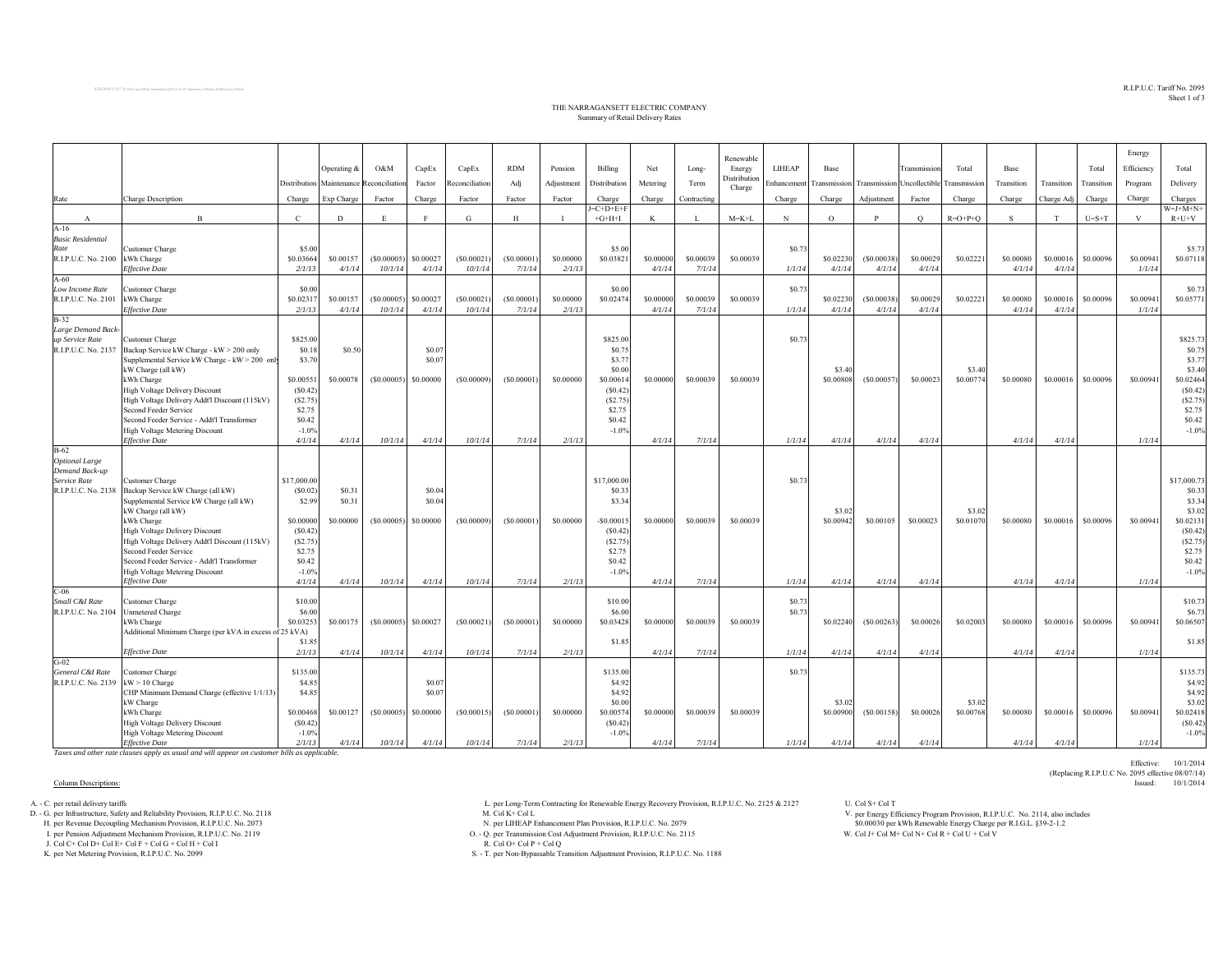## $\mathrm{R.I.P. U.C.}$  Tariff  $\mathrm{No.}$   $2095$ Sheet 1 of 3

Effective: 10/1/2014

(Replacing R.I.P.U.C No. 2095 effective 08/07/14)

### THE NARRAGANSETT ELECTRIC COMPANY Summary of Retail Delivery Rates

|                                       |                                                                              |                      |                  |                            |                  |                       |                      |                     |                        |           |                     | Renewable              |                  |           |                           |                     |                            |            |                     |                     | Energy     |                       |
|---------------------------------------|------------------------------------------------------------------------------|----------------------|------------------|----------------------------|------------------|-----------------------|----------------------|---------------------|------------------------|-----------|---------------------|------------------------|------------------|-----------|---------------------------|---------------------|----------------------------|------------|---------------------|---------------------|------------|-----------------------|
|                                       |                                                                              |                      | Operating &      | O&M                        | CapEx            | CapEx                 | <b>RDM</b>           | Pension             | Billing                | Net       | Long-               | Energy<br>Distribution | LIHEAP           | Base      |                           | Transmission        | Total                      | Base       |                     | Total               | Efficiency | Total                 |
|                                       |                                                                              | Distribution         |                  | Maintenance Reconciliation | Factor           | Reconciliation        | Adj                  | Adjustment          | Distribution           | Metering  | Term                | Charge                 | Enhancement      |           | Transmission Transmission |                     | Jncollectible Transmission | Transition | Transition          | Transition          | Program    | Delivery              |
| Rate                                  | Charge Description                                                           | Charge               | Exp Charge       | Factor                     | Charge           | Factor                | Factor               | Factor              | Charge                 | Charge    | Contracting         |                        | Charge           | Charge    | Adjustment                | Factor              | Charge                     | Charge     | Charge Adj          | Charge              | Charge     | Charges               |
| A                                     | $\mathbf B$                                                                  | $\mathbf C$          | D                | E                          | F                | G                     | H                    | $\mathbf{I}$        | $=C+D+E+I$<br>$+G+H+I$ | K         | $\mathbf{I}$        | $M = K + L$            | N                | $\circ$   | P                         | $\circ$             | $R = O + P + O$            | S          | T                   | $U=S+T$             | V          | $W=J+M+N+$<br>$R+U+V$ |
| $A-16$                                |                                                                              |                      |                  |                            |                  |                       |                      |                     |                        |           |                     |                        |                  |           |                           |                     |                            |            |                     |                     |            |                       |
| <b>Basic Residential</b>              |                                                                              |                      |                  |                            |                  |                       |                      |                     |                        |           |                     |                        |                  |           |                           |                     |                            |            |                     |                     |            |                       |
| Rate                                  | Customer Charge                                                              | \$5.00               |                  |                            |                  |                       |                      |                     | \$5.00                 |           |                     |                        | \$0.73           |           |                           |                     |                            |            |                     |                     |            | \$5.73                |
| R.I.P.U.C. No. 2100                   | kWh Charge<br>Effective Date                                                 | \$0.03664            | \$0.00157        | (S0.00005)                 | \$0.00027        | (S0.00021)<br>10/1/14 | (S0.00001)<br>7/1/14 | \$0.00000<br>2/1/13 | \$0.0382               | \$0.00000 | \$0.00039<br>7/1/14 | \$0.00039              | 1/1/14           | \$0.02230 | (S0.00038)                | \$0.00029<br>4/1/14 | \$0.0222                   | \$0.00080  | \$0.00016<br>4/1/14 | \$0.00096           | \$0.00941  | \$0.07118             |
| $A-60$                                |                                                                              | 2/1/13               | 4/1/14           | 10/1/14                    | 4/1/14           |                       |                      |                     |                        | 4/1/14    |                     |                        |                  | 4/1/14    | 4/1/14                    |                     |                            | 4/1/14     |                     |                     | 1/1/14     |                       |
| Low Income Rate                       | <b>Customer Charge</b>                                                       | \$0.00               |                  |                            |                  |                       |                      |                     | \$0.00                 |           |                     |                        | \$0.73           |           |                           |                     |                            |            |                     |                     |            | \$0.73                |
| R.I.P.U.C. No. 2101                   | kWh Charge                                                                   | \$0.0231             | \$0.00157        | (S0.00005)                 | \$0.00027        | (S0.00021)            | (S0.00001)           | \$0.00000           | \$0.02474              | \$0.00000 | \$0.00039           | \$0.00039              |                  | \$0.02230 | (S0.00038)                | \$0.00029           | \$0.02221                  | \$0.00080  | \$0.00016           | \$0.00096           | \$0.00941  | \$0.05771             |
|                                       | Effective Date                                                               | 2/1/13               | 4/1/14           | 10/1/14                    | 4/1/14           | 10/1/14               | 7/1/14               | 2/1/13              |                        | 4/1/14    | 7/1/14              |                        | 1/1/14           | 4/1/14    | 4/1/14                    | 4/1/14              |                            | 4/1/14     | 4/1/14              |                     | 1/1/14     |                       |
| $B-32$<br>Large Demand Back-          |                                                                              |                      |                  |                            |                  |                       |                      |                     |                        |           |                     |                        |                  |           |                           |                     |                            |            |                     |                     |            |                       |
| up Service Rate                       | Customer Charge                                                              | \$825.00             |                  |                            |                  |                       |                      |                     | \$825.00               |           |                     |                        | \$0.73           |           |                           |                     |                            |            |                     |                     |            | \$825.73              |
| R.I.P.U.C. No. 2137                   | Backup Service kW Charge - kW > 200 only                                     | \$0.18               | \$0.50           |                            | \$0.07           |                       |                      |                     | \$0.7                  |           |                     |                        |                  |           |                           |                     |                            |            |                     |                     |            | \$0.75                |
|                                       | Supplemental Service kW Charge - kW > 200 only                               | \$3.70               |                  |                            | \$0.07           |                       |                      |                     | \$3.77                 |           |                     |                        |                  |           |                           |                     |                            |            |                     |                     |            | \$3.77                |
|                                       | kW Charge (all kW)                                                           |                      |                  |                            |                  |                       |                      |                     | \$0.00                 |           |                     |                        |                  | \$3.40    |                           |                     | \$3.40                     |            |                     |                     |            | \$3.40                |
|                                       | kWh Charge<br>High Voltage Delivery Discount                                 | \$0.00551<br>(S0.42) | \$0.00078        | (S0.00005)                 | \$0.00000        | (S0.00009)            | (S0.00001)           | \$0.00000           | \$0.00614<br>(S0.42)   | \$0,00000 | \$0.00039           | \$0.00039              |                  | \$0,00808 | (S0.00057)                | \$0.00023           | \$0.00774                  | \$0.00080  | \$0.00016           | \$0.00096           | \$0.00941  | \$0.02464<br>(S0.42)  |
|                                       | High Voltage Delivery Addt'l Discount (115kV)                                | (S2.75)              |                  |                            |                  |                       |                      |                     | (S2.75)                |           |                     |                        |                  |           |                           |                     |                            |            |                     |                     |            | (S2.75)               |
|                                       | Second Feeder Service                                                        | \$2.75               |                  |                            |                  |                       |                      |                     | \$2.75                 |           |                     |                        |                  |           |                           |                     |                            |            |                     |                     |            | \$2.75                |
|                                       | Second Feeder Service - Addt'l Transformer                                   | \$0.42               |                  |                            |                  |                       |                      |                     | \$0.42                 |           |                     |                        |                  |           |                           |                     |                            |            |                     |                     |            | \$0.42                |
|                                       | High Voltage Metering Discount                                               | $-1.0%$              |                  |                            |                  |                       |                      |                     | $-1.0%$                |           |                     |                        |                  |           |                           |                     |                            |            |                     |                     |            | $-1.0%$               |
| $B-62$                                | <b>Effective Date</b>                                                        | 4/1/14               | 4/1/14           | 10/1/14                    | 4/1/14           | 10/1/14               | 7/1/14               | 2/1/13              |                        | 4/1/14    | 7/1/14              |                        | 1/1/14           | 4/1/14    | 4/1/14                    | 4/1/14              |                            | 4/1/14     | 4/1/14              |                     | 1/1/14     |                       |
| <b>Optional Large</b>                 |                                                                              |                      |                  |                            |                  |                       |                      |                     |                        |           |                     |                        |                  |           |                           |                     |                            |            |                     |                     |            |                       |
| Demand Back-up                        |                                                                              |                      |                  |                            |                  |                       |                      |                     |                        |           |                     |                        |                  |           |                           |                     |                            |            |                     |                     |            |                       |
| Service Rate                          | Customer Charge                                                              | \$17,000.00          |                  |                            |                  |                       |                      |                     | \$17,000.00            |           |                     |                        | \$0.73           |           |                           |                     |                            |            |                     |                     |            | \$17,000.73           |
| R.I.P.U.C. No. 2138                   | Backup Service kW Charge (all kW)<br>Supplemental Service kW Charge (all kW) | (S0.02)<br>\$2.99    | \$0.31<br>\$0.31 |                            | \$0.04<br>\$0.04 |                       |                      |                     | \$0.3<br>\$3.34        |           |                     |                        |                  |           |                           |                     |                            |            |                     |                     |            | \$0.33<br>\$3.34      |
|                                       | kW Charge (all kW)                                                           |                      |                  |                            |                  |                       |                      |                     |                        |           |                     |                        |                  | \$3.02    |                           |                     | \$3.02                     |            |                     |                     |            | \$3.02                |
|                                       | kWh Charge                                                                   | \$0.00000            | \$0.00000        | (S0.00005)                 | \$0.00000        | (S0.00009)            | (S0.00001)           | \$0.00000           | $-$0.0001$             | \$0,00000 | \$0.00039           | \$0,00039              |                  | \$0.00942 | \$0.00105                 | \$0.00023           | \$0.01070                  | \$0.00080  | \$0.00016           | \$0.00096           | \$0.00941  | \$0.02131             |
|                                       | High Voltage Delivery Discount                                               | (S0.42)              |                  |                            |                  |                       |                      |                     | (S0.42)                |           |                     |                        |                  |           |                           |                     |                            |            |                     |                     |            | (S0.42)               |
|                                       | High Voltage Delivery Addt'l Discount (115kV)                                | (S2.75)              |                  |                            |                  |                       |                      |                     | (S2.75)                |           |                     |                        |                  |           |                           |                     |                            |            |                     |                     |            | (S2.75)               |
|                                       | Second Feeder Service<br>Second Feeder Service - Addt'l Transformer          | \$2.75<br>\$0.42     |                  |                            |                  |                       |                      |                     | \$2.75<br>\$0.42       |           |                     |                        |                  |           |                           |                     |                            |            |                     |                     |            | \$2.75<br>\$0.42      |
|                                       | High Voltage Metering Discount                                               | $-1.0%$              |                  |                            |                  |                       |                      |                     | $-1.0%$                |           |                     |                        |                  |           |                           |                     |                            |            |                     |                     |            | $-1.0%$               |
|                                       | <b>Effective Date</b>                                                        | 4/1/14               | 4/1/14           | 10/1/14                    | 4/1/14           | 10/1/14               | 7/1/14               | 2/1/13              |                        | 4/1/14    | 7/1/14              |                        | 1/1/14           | 4/1/14    | 4/1/14                    | 4/1/14              |                            | 4/1/14     | 4/1/14              |                     | 1/1/14     |                       |
| $C-06$                                |                                                                              |                      |                  |                            |                  |                       |                      |                     |                        |           |                     |                        |                  |           |                           |                     |                            |            |                     |                     |            |                       |
| Small C&I Rate<br>R.I.P.U.C. No. 2104 | Customer Charge<br>Unmetered Charge                                          | \$10.00<br>\$6.00    |                  |                            |                  |                       |                      |                     | \$10.00<br>\$6.00      |           |                     |                        | \$0.73<br>\$0.73 |           |                           |                     |                            |            |                     |                     |            | \$10.73<br>\$6.73     |
|                                       | kWh Charge                                                                   | \$0.0325             | \$0.00175        | (S0.00005)                 | \$0.00027        | (S0.00021)            | (S0.00001)           | \$0,00000           | \$0.03428              | \$0,00000 | \$0.00039           | \$0,00039              |                  | \$0.02240 | (S0.00263)                | \$0,00026           | \$0.02003                  | \$0,00080  |                     | \$0.00016 \$0.00096 | \$0.00941  | \$0.06507             |
|                                       | Additional Minimum Charge (per kVA in excess of 25 kVA)                      |                      |                  |                            |                  |                       |                      |                     |                        |           |                     |                        |                  |           |                           |                     |                            |            |                     |                     |            |                       |
|                                       |                                                                              | \$1.85               |                  |                            |                  |                       |                      |                     | \$1.85                 |           |                     |                        |                  |           |                           |                     |                            |            |                     |                     |            | \$1.85                |
|                                       | <b>Effective Date</b>                                                        | 2/1/13               | 4/1/14           | 10/1/14                    | 4/1/14           | 10/1/14               | 7/1/14               | 2/1/13              |                        | 4/1/14    | 7/1/14              |                        | 1/1/14           | 4/1/14    | 4/1/14                    | 4/1/14              |                            | 4/1/14     | 4/1/14              |                     | 1/1/14     |                       |
| $G-02$<br>General C&I Rate            | Customer Charge                                                              | \$135.00             |                  |                            |                  |                       |                      |                     | \$135.00               |           |                     |                        | \$0.73           |           |                           |                     |                            |            |                     |                     |            | \$135.73              |
| R.I.P.U.C. No. 2139                   | $kW > 10$ Charge                                                             | \$4.85               |                  |                            | \$0.07           |                       |                      |                     | \$4.92                 |           |                     |                        |                  |           |                           |                     |                            |            |                     |                     |            | \$4.92                |
|                                       | CHP Minimum Demand Charge (effective 1/1/13)                                 | \$4.85               |                  |                            | \$0.07           |                       |                      |                     | \$4.92                 |           |                     |                        |                  |           |                           |                     |                            |            |                     |                     |            | \$4.92                |
|                                       | kW Charge                                                                    |                      |                  |                            |                  |                       |                      |                     | \$0.00                 |           |                     |                        |                  | \$3.02    |                           |                     | \$3.02                     |            |                     |                     |            | \$3.02                |
|                                       | kWh Charge                                                                   | \$0,00468            | \$0.00127        | (S0.00005)                 | \$0.00000        | (S0.00015)            | (S0.00001)           | \$0,00000           | \$0.00574              | \$0,00000 | \$0,00039           | \$0.00039              |                  | \$0.00900 | (S0.00158)                | \$0,00026           | \$0.00768                  | \$0,00080  | \$0,00016           | \$0.00096           | \$0.00941  | \$0.02418             |
|                                       | High Voltage Delivery Discount<br>High Voltage Metering Discount             | (S0.42)<br>$-1.0%$   |                  |                            |                  |                       |                      |                     | (S0.42)<br>$-1.0%$     |           |                     |                        |                  |           |                           |                     |                            |            |                     |                     |            | (S0.42)<br>$-1.0%$    |
|                                       | <b>Effective Date</b>                                                        | 2/1/13               | 4/1/14           | 10/1/14                    | 4/1/14           | 10/1/14               | 7/1/14               | 2/1/13              |                        | 4/1/14    | 7/1/14              |                        | 1/1/14           | 4/1/14    | 4/1/14                    | 4/1/14              |                            | 4/1/14     | 4/1/14              |                     | 1/1/14     |                       |

*Taxes and other rate clauses apply as usual and will appear on customer bills as applicable.*

#### Column Descriptions: Issued: 10/1/2014

H. per Revenue Decoupling Mechanism Provision, R.I.P.U.C. No. 2073 N. per LIHEAP Enhancement Plan Provision, R.I.P.U.C. No. 2079

J. Col C+ Col D+ Col E+ Col F + Col G + Col H + Col I

A. - C. per Long-Term Contracting for Renewable Energy Recovery Provision, R.I.P.U.C. No. 2125 & 2127 U. Col S+ Col T<br>D. - G. per Infrastructure, Safety and Reliability Provision, R.I.P.U.C. No. 2118 M. Col K+ Col L. Col K

I. per Pension Adjustment Mechanism Provision, R.I.P.U.C. No. 2119 O. - Q. per Transmission Cost Adjustment Provision, R.I.P.U.C. No. 2115 W. Col I+ Col N+ Col N+ Col N+ Col N+ Col N+ Col U + Col V + Col V + Col V + Col V

K. per Net Metering Provision, R.I.P.U.C. No. 2099 S. - T. per Non-Bypassable Transition Adjustment Provision, R.I.P.U.C. No. 1188

per Energy Efficiency Program Provision, R.I.P.U.C. No. 2114, also includes \$0.00030 per kWh Renewable Energy Charge per R.I.G.L. §39-2-1.2